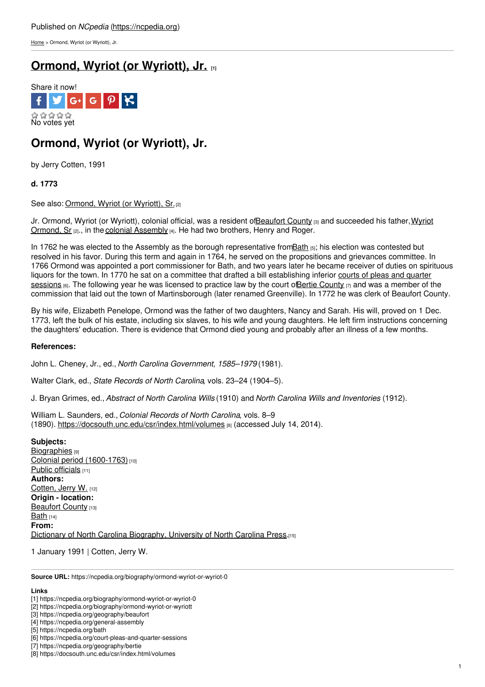[Home](https://ncpedia.org/) > Ormond, Wyriot (or Wyriott), Jr.

## **[Ormond,](https://ncpedia.org/biography/ormond-wyriot-or-wyriot-0) Wyriot (or Wyriott), Jr. [1]**



# **Ormond, Wyriot (or Wyriott), Jr.**

by Jerry Cotten, 1991

### **d. 1773**

See also: [Ormond,](https://ncpedia.org/biography/ormond-wyriot-or-wyriott) Wyriot (or Wyriott), Sr.[2]

Jr. Ormond, Wyriot (or Wyriott), colonial [official,](http://www.social9.com) was a resident o[fBeaufort](https://ncpedia.org/geography/beaufort) County [3] and succeeded his father, Wyriot Ormond, Sr  $_{[2]}$ , in the colonial [Assembly](https://ncpedia.org/general-assembly)  $_{[4]}$ . He had two brothers, Henry and Roger.

In 1762 he was elected to the Assembly as the borough representative fro[mBath](https://ncpedia.org/bath) [5]; his election was contested but resolved in his favor. During this term and again in 1764, he served on the propositions and grievances committee. In 1766 Ormond was appointed a port commissioner for Bath, and two years later he became receiver of duties on spirituous liquors for the town. In 1770 he sat on a committee that drafted a bill [establishing](https://ncpedia.org/court-pleas-and-quarter-sessions) inferior courts of pleas and quarter sessions (6). The following year he was licensed to practice law by the court of Bertie [County](https://ncpedia.org/geography/bertie)  $[7]$  and was a member of the commission that laid out the town of Martinsborough (later renamed Greenville). In 1772 he was clerk of Beaufort County.

By his wife, Elizabeth Penelope, Ormond was the father of two daughters, Nancy and Sarah. His will, proved on 1 Dec. 1773, left the bulk of his estate, including six slaves, to his wife and young daughters. He left firm instructions concerning the daughters' education. There is evidence that Ormond died young and probably after an illness of a few months.

### **References:**

John L. Cheney, Jr., ed., *North Carolina Government, 1585–1979* (1981).

Walter Clark, ed., *State Records of North Carolina*, vols. 23–24 (1904–5).

J. Bryan Grimes, ed., *Abstract of North Carolina Wills* (1910) and *North Carolina Wills and Inventories* (1912).

William L. Saunders, ed., *Colonial Records of North Carolina*, vols. 8–9 (1890). <https://docsouth.unc.edu/csr/index.html/volumes> [8] (accessed July 14, 2014).

**Subjects: [Biographies](https://ncpedia.org/category/subjects/biography-term)** [9] Colonial period [\(1600-1763\)](https://ncpedia.org/category/subjects/colonial-period) [10] Public [officials](https://ncpedia.org/category/subjects/public-officials)  $111$ **Authors:** [Cotten,](https://ncpedia.org/category/authors/cotten-jerry-w) Jerry W. [12] **Origin - location:** [Beaufort](https://ncpedia.org/category/origin-location/coastal-22) County [13] [Bath](https://ncpedia.org/category/origin-location/coastal-46) [14] **From:** Dictionary of North Carolina [Biography,](https://ncpedia.org/category/entry-source/dictionary-no) University of North Carolina Press.[15]

1 January 1991 | Cotten, Jerry W.

**Source URL:** https://ncpedia.org/biography/ormond-wyriot-or-wyriot-0

#### **Links**

<sup>[1]</sup> https://ncpedia.org/biography/ormond-wyriot-or-wyriot-0

<sup>[2]</sup> https://ncpedia.org/biography/ormond-wyriot-or-wyriott

<sup>[3]</sup> https://ncpedia.org/geography/beaufort

<sup>[4]</sup> https://ncpedia.org/general-assembly

<sup>[5]</sup> https://ncpedia.org/bath

<sup>[6]</sup> https://ncpedia.org/court-pleas-and-quarter-sessions

<sup>[7]</sup> https://ncpedia.org/geography/bertie [8] https://docsouth.unc.edu/csr/index.html/volumes